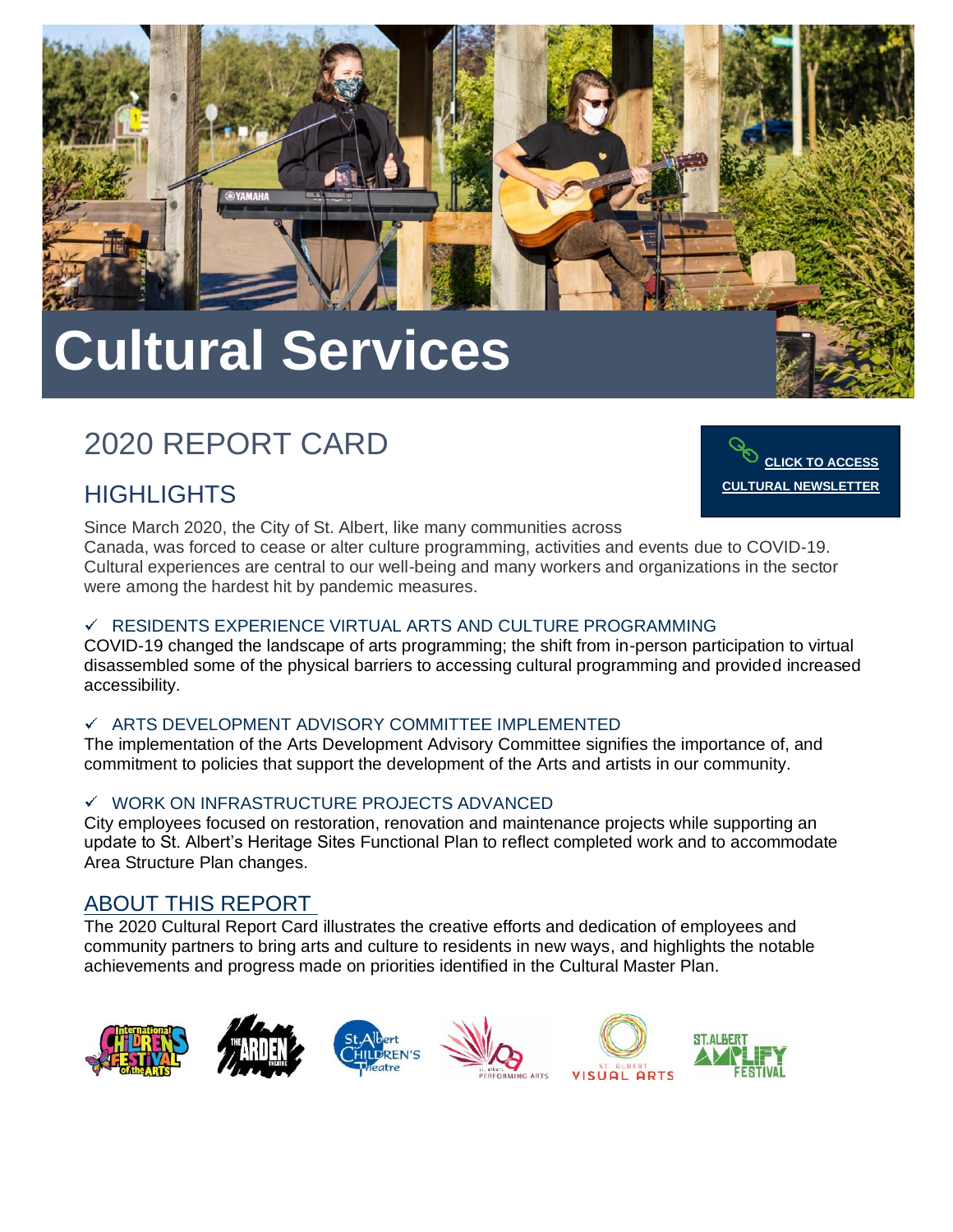

# **Cultural Services**

## 2020 REPORT CARD

### **HIGHLIGHTS**



Since March 2020, the City of St. Albert, like many communities across Canada, was forced to cease or alter culture programming, activities and events due to COVID-19. Cultural experiences are central to our well-being and many workers and organizations in the sector were among the hardest hit by pandemic measures.

### $\checkmark$  RESIDENTS EXPERIENCE VIRTUAL ARTS AND CULTURE PROGRAMMING

COVID-19 changed the landscape of arts programming; the shift from in-person participation to virtual disassembled some of the physical barriers to accessing cultural programming and provided increased accessibility.

### $\checkmark$  ARTS DEVELOPMENT ADVISORY COMMITTEE IMPLEMENTED

The implementation of the Arts Development Advisory Committee signifies the importance of, and commitment to policies that support the development of the Arts and artists in our community.

#### $\checkmark$ WORK ON INFRASTRUCTURE PROJECTS ADVANCED

City employees focused on restoration, renovation and maintenance projects while supporting an update to St. Albert's Heritage Sites Functional Plan to reflect completed work and to accommodate Area Structure Plan changes.

### ABOUT THIS REPORT

The 2020 Cultural Report Card illustrates the creative efforts and dedication of employees and community partners to bring arts and culture to residents in new ways, and highlights the notable achievements and progress made on priorities identified in the Cultural Master Plan.

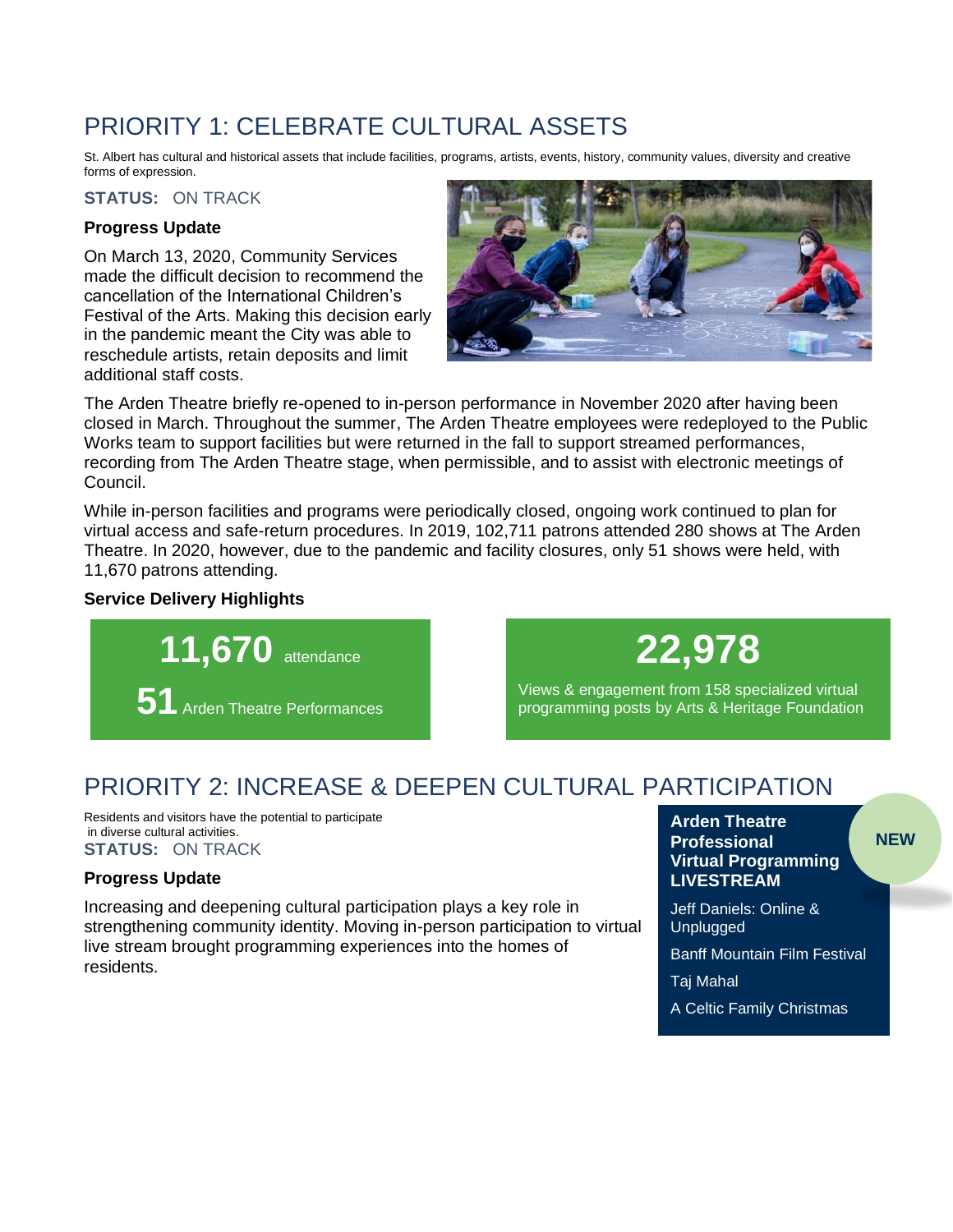### PRIORITY 1: CELEBRATE CULTURAL ASSETS

St. Albert has cultural and historical assets that include facilities, programs, artists, events, history, community values, diversity and creative forms of expression.

### **STATUS:** ON TRACK

### **Progress Update**

On March 13, 2020, Community Services made the difficult decision to recommend the cancellation of the International Children's Festival of the Arts. Making this decision early in the pandemic meant the City was able to reschedule artists, retain deposits and limit additional staff costs.



The Arden Theatre briefly re-opened to in-person performance in November 2020 after having been closed in March. Throughout the summer, The Arden Theatre employees were redeployed to the Public Works team to support facilities but were returned in the fall to support streamed performances, recording from The Arden Theatre stage, when permissible, and to assist with electronic meetings of Council.

While in-person facilities and programs were periodically closed, ongoing work continued to plan for virtual access and safe-return procedures. In 2019, 102,711 patrons attended 280 shows at The Arden Theatre. In 2020, however, due to the pandemic and facility closures, only 51 shows were held, with 11,670 patrons attending.

### **Service Delivery Highlights**



# **22,978**

Views & engagement from 158 specialized virtual programming posts by Arts & Heritage Foundation

### PRIORITY 2: INCREASE & DEEPEN CULTURAL PARTICIPATION

Residents and visitors have the potential to participate in diverse cultural activities. **STATUS:** ON TRACK

#### **Progress Update**

Increasing and deepening cultural participation plays a key role in strengthening community identity. Moving in-person participation to virtual live stream brought programming experiences into the homes of residents.

#### **Arden Theatre Professional Virtual Programming LIVESTREAM**

**NEW**

Jeff Daniels: Online & Unplugged

Banff Mountain Film Festival

Taj Mahal

A Celtic Family Christmas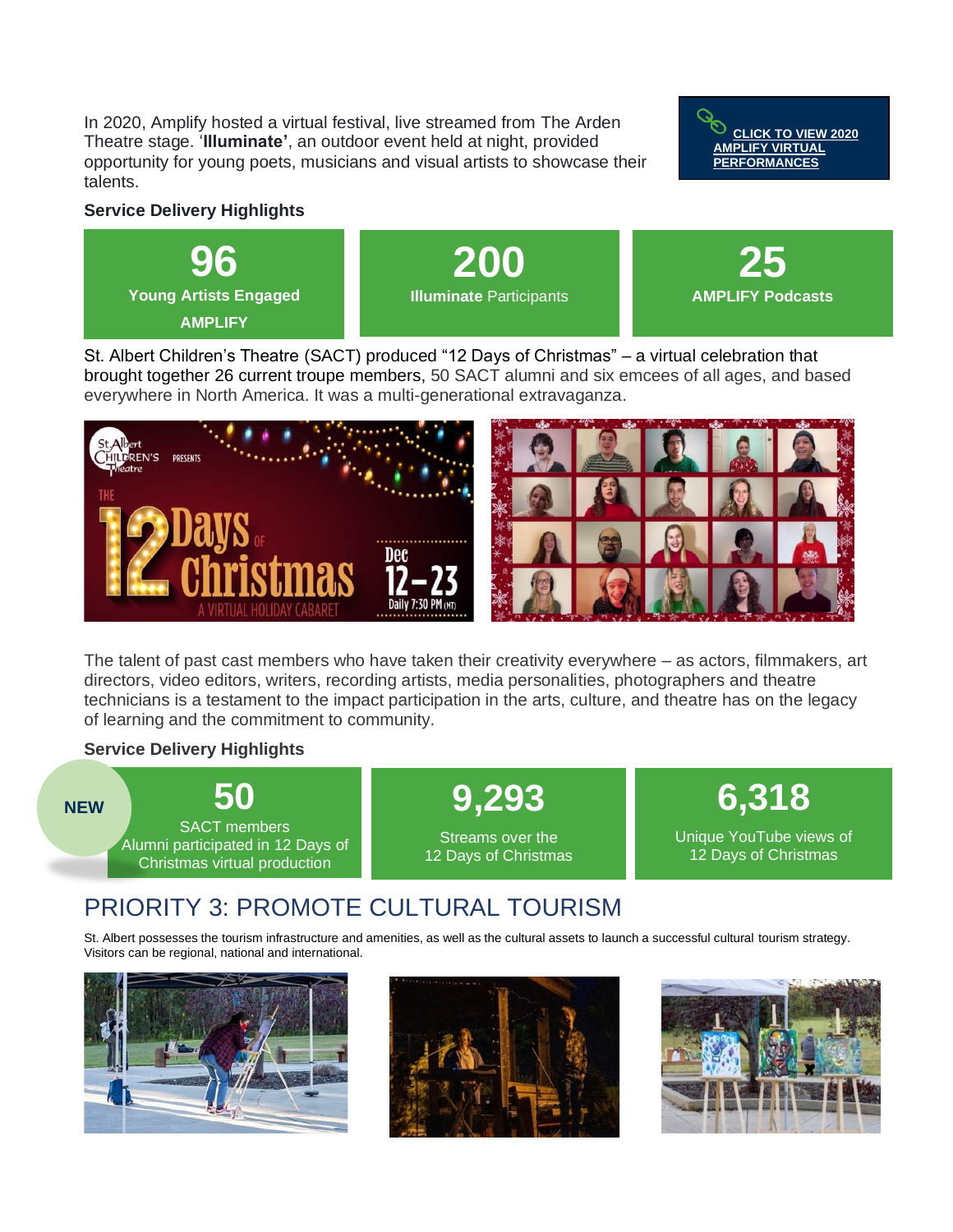In 2020, Amplify hosted a virtual festival, live streamed from The Arden Theatre stage. '**Illuminate'**, an outdoor event held at night, provided opportunity for young poets, musicians and visual artists to showcase their talents.



#### **Service Delivery Highlights**



St. Albert Children's Theatre (SACT) produced "12 Days of Christmas" – a virtual celebration that brought together 26 current troupe members, 50 SACT alumni and six emcees of all ages, and based everywhere in North America. It was a multi-generational extravaganza.



The talent of past cast members who have taken their creativity everywhere – as actors, filmmakers, art directors, video editors, writers, recording artists, media personalities, photographers and theatre technicians is a testament to the impact participation in the arts, culture, and theatre has on the legacy of learning and the commitment to community.

#### **Service Delivery Highlights**

**50** SACT members Alumni participated in 12 Days of Christmas virtual production **9,293**  Streams over the 12 Days of Christmas **6,318** Unique YouTube views of 12 Days of Christmas **NEW**

### PRIORITY 3: PROMOTE CULTURAL TOURISM

St. Albert possesses the tourism infrastructure and amenities, as well as the cultural assets to launch a successful cultural tourism strategy. Visitors can be regional, national and international.





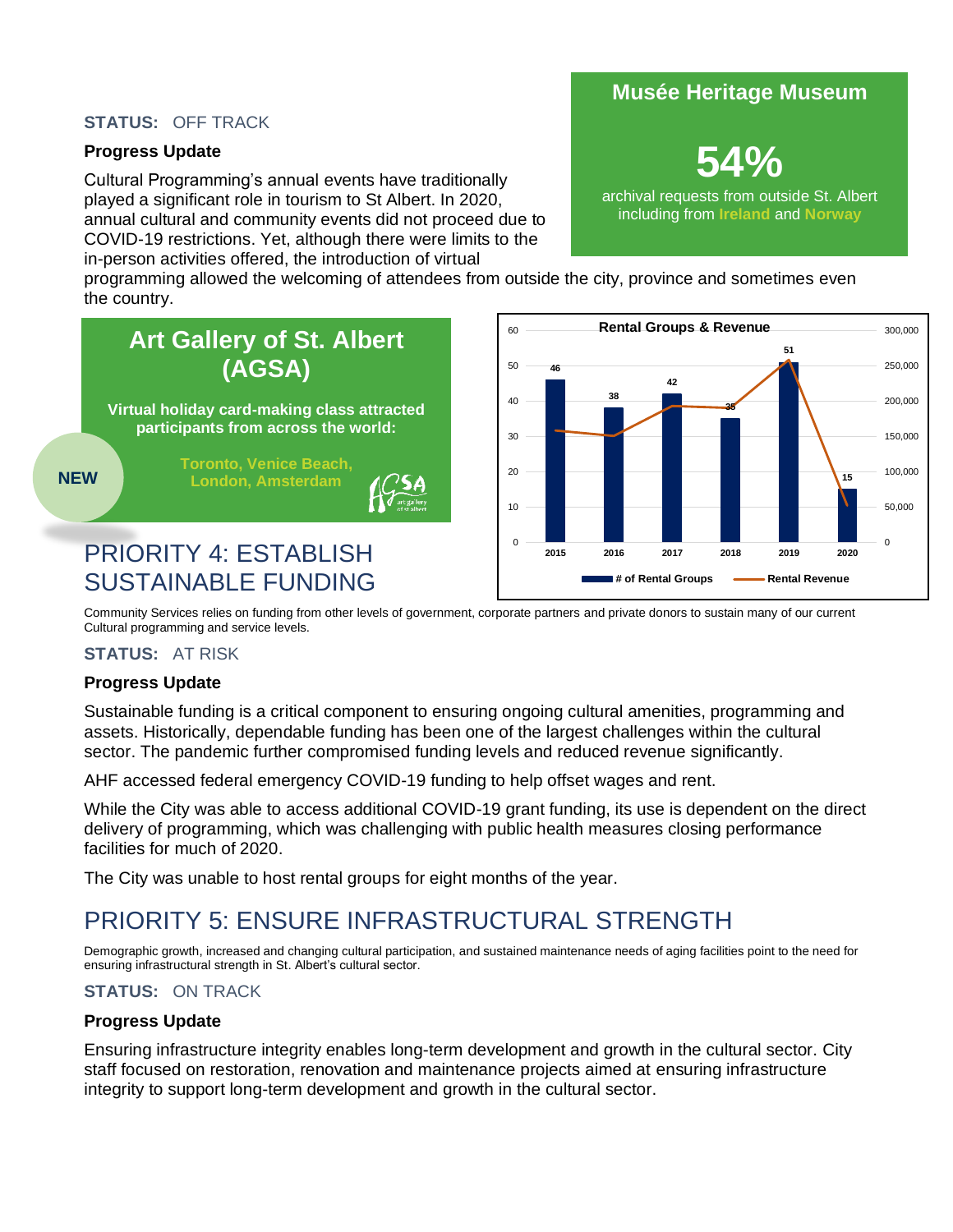### **STATUS:** OFF TRACK

### **Progress Update**

Cultural Programming's annual events have traditionally played a significant role in tourism to St Albert. In 2020, annual cultural and community events did not proceed due to COVID-19 restrictions. Yet, although there were limits to the in-person activities offered, the introduction of virtual

### **Musée Heritage Museum**

**54%**

archival requests from outside St. Albert including from **Ireland** and **Norway**

programming allowed the welcoming of attendees from outside the city, province and sometimes even the country.





Community Services relies on funding from other levels of government, corporate partners and private donors to sustain many of our current Cultural programming and service levels.

#### **STATUS:** AT RISK

#### **Progress Update**

Sustainable funding is a critical component to ensuring ongoing cultural amenities, programming and assets. Historically, dependable funding has been one of the largest challenges within the cultural sector. The pandemic further compromised funding levels and reduced revenue significantly.

AHF accessed federal emergency COVID-19 funding to help offset wages and rent.

While the City was able to access additional COVID-19 grant funding, its use is dependent on the direct delivery of programming, which was challenging with public health measures closing performance facilities for much of 2020.

The City was unable to host rental groups for eight months of the year.

### PRIORITY 5: ENSURE INFRASTRUCTURAL STRENGTH

Demographic growth, increased and changing cultural participation, and sustained maintenance needs of aging facilities point to the need for ensuring infrastructural strength in St. Albert's cultural sector.

### **STATUS:** ON TRACK

### **Progress Update**

Ensuring infrastructure integrity enables long-term development and growth in the cultural sector. City staff focused on restoration, renovation and maintenance projects aimed at ensuring infrastructure integrity to support long-term development and growth in the cultural sector.